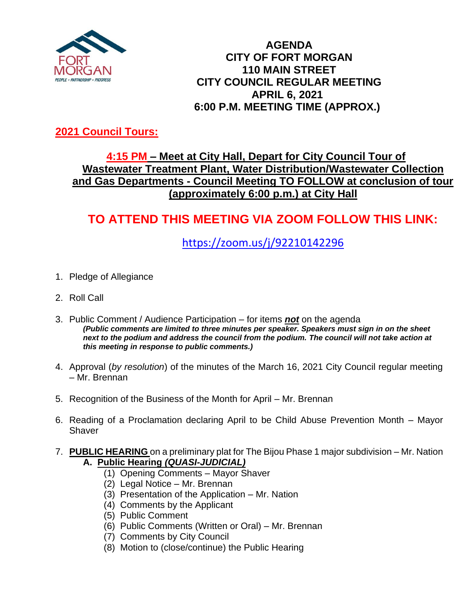

### **AGENDA CITY OF FORT MORGAN 110 MAIN STREET CITY COUNCIL REGULAR MEETING APRIL 6, 2021 6:00 P.M. MEETING TIME (APPROX.)**

## **2021 Council Tours:**

## **4:15 PM – Meet at City Hall, Depart for City Council Tour of Wastewater Treatment Plant, Water Distribution/Wastewater Collection and Gas Departments - Council Meeting TO FOLLOW at conclusion of tour (approximately 6:00 p.m.) at City Hall**

# **TO ATTEND THIS MEETING VIA ZOOM FOLLOW THIS LINK:**

<https://zoom.us/j/92210142296>

- 1. Pledge of Allegiance
- 2. Roll Call
- 3. Public Comment / Audience Participation for items *not* on the agenda *(Public comments are limited to three minutes per speaker. Speakers must sign in on the sheet next to the podium and address the council from the podium. The council will not take action at this meeting in response to public comments.)*
- 4. Approval (*by resolution*) of the minutes of the March 16, 2021 City Council regular meeting – Mr. Brennan
- 5. Recognition of the Business of the Month for April Mr. Brennan
- 6. Reading of a Proclamation declaring April to be Child Abuse Prevention Month Mayor **Shaver**
- 7. **PUBLIC HEARING** on a preliminary plat for The Bijou Phase 1 major subdivision Mr. Nation **A.****Public Hearing** *(QUASI-JUDICIAL)*
	- (1) Opening Comments Mayor Shaver
	- (2) Legal Notice Mr. Brennan
	- (3) Presentation of the Application Mr. Nation
	- (4) Comments by the Applicant
	- (5) Public Comment
	- (6) Public Comments (Written or Oral) Mr. Brennan
	- (7) Comments by City Council
	- (8) Motion to (close/continue) the Public Hearing